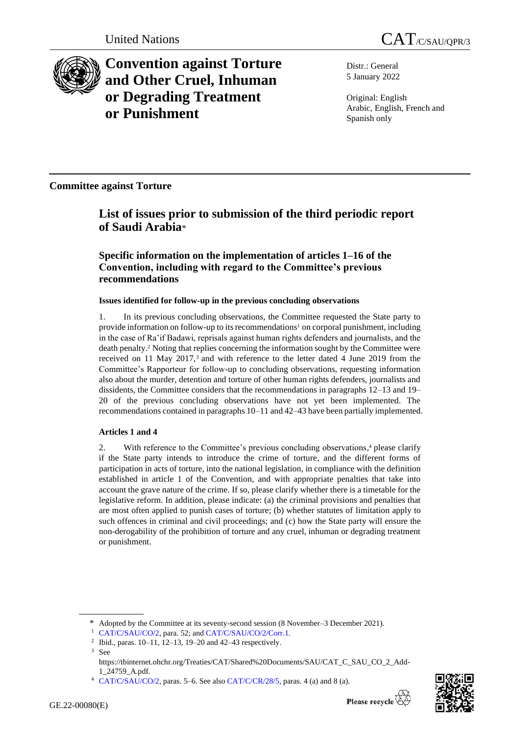

**Convention against Torture and Other Cruel, Inhuman or Degrading Treatment or Punishment**

Distr.: General 5 January 2022

Original: English Arabic, English, French and Spanish only

**Committee against Torture**

# **List of issues prior to submission of the third periodic report of Saudi Arabia**\*

**Specific information on the implementation of articles 1–16 of the Convention, including with regard to the Committee's previous recommendations**

# **Issues identified for follow-up in the previous concluding observations**

1. In its previous concluding observations, the Committee requested the State party to provide information on follow-up to its recommendations<sup>1</sup> on corporal punishment, including in the case of Ra'if Badawi, reprisals against human rights defenders and journalists, and the death penalty. <sup>2</sup> Noting that replies concerning the information sought by the Committee were received on 11 May 2017,<sup>3</sup> and with reference to the letter dated 4 June 2019 from the Committee's Rapporteur for follow-up to concluding observations, requesting information also about the murder, detention and torture of other human rights defenders, journalists and dissidents, the Committee considers that the recommendations in paragraphs 12–13 and 19– 20 of the previous concluding observations have not yet been implemented. The recommendations contained in paragraphs 10–11 and 42–43 have been partially implemented.

# **Articles 1 and 4**

2. With reference to the Committee's previous concluding observations, <sup>4</sup> please clarify if the State party intends to introduce the crime of torture, and the different forms of participation in acts of torture, into the national legislation, in compliance with the definition established in article 1 of the Convention, and with appropriate penalties that take into account the grave nature of the crime. If so, please clarify whether there is a timetable for the legislative reform. In addition, please indicate: (a) the criminal provisions and penalties that are most often applied to punish cases of torture; (b) whether statutes of limitation apply to such offences in criminal and civil proceedings; and (c) how the State party will ensure the non-derogability of the prohibition of torture and any cruel, inhuman or degrading treatment or punishment.



<sup>\*</sup> Adopted by the Committee at its seventy-second session (8 November–3 December 2021).

<sup>&</sup>lt;sup>1</sup> [CAT/C/SAU/CO/2,](http://undocs.org/en/CAT/C/SAU/CO/2) para. 52; and [CAT/C/SAU/CO/2/Corr.1.](http://undocs.org/en/CAT/C/SAU/CO/2/Corr.1.)

<sup>2</sup> Ibid., paras. 10–11, 12–13, 19–20 and 42–43 respectively.

<sup>3</sup> See

https://tbinternet.ohchr.org/Treaties/CAT/Shared%20Documents/SAU/CAT\_C\_SAU\_CO\_2\_Add-1\_24759\_A.pdf.

<sup>4</sup> [CAT/C/SAU/CO/2,](http://undocs.org/en/CAT/C/SAU/CO/2) paras. 5–6. See also [CAT/C/CR/28/5,](http://undocs.org/en/CAT/C/CR/28/5) paras. 4 (a) and 8 (a).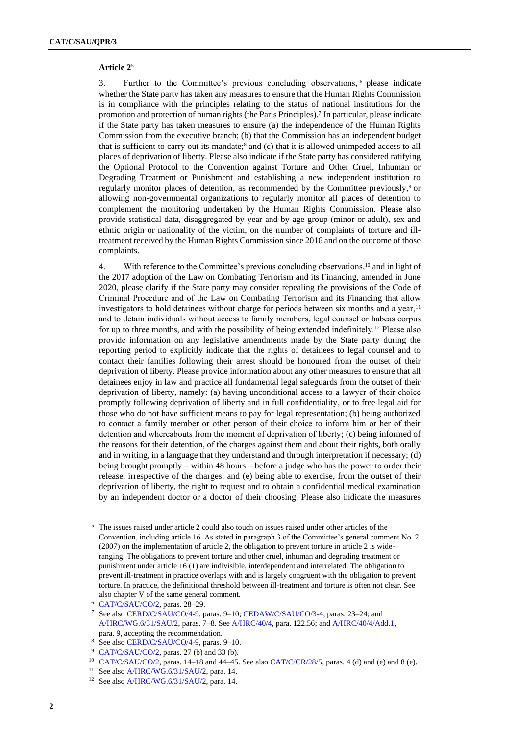#### **Article 2**<sup>5</sup>

3. Further to the Committee's previous concluding observations, <sup>6</sup> please indicate whether the State party has taken any measures to ensure that the Human Rights Commission is in compliance with the principles relating to the status of national institutions for the promotion and protection of human rights (the Paris Principles).<sup>7</sup> In particular, please indicate if the State party has taken measures to ensure (a) the independence of the Human Rights Commission from the executive branch; (b) that the Commission has an independent budget that is sufficient to carry out its mandate; $\frac{8}{3}$  and (c) that it is allowed unimpeded access to all places of deprivation of liberty. Please also indicate if the State party has considered ratifying the Optional Protocol to the Convention against Torture and Other Cruel, Inhuman or Degrading Treatment or Punishment and establishing a new independent institution to regularly monitor places of detention, as recommended by the Committee previously,<sup>9</sup> or allowing non-governmental organizations to regularly monitor all places of detention to complement the monitoring undertaken by the Human Rights Commission. Please also provide statistical data, disaggregated by year and by age group (minor or adult), sex and ethnic origin or nationality of the victim, on the number of complaints of torture and illtreatment received by the Human Rights Commission since 2016 and on the outcome of those complaints.

4. With reference to the Committee's previous concluding observations, <sup>10</sup> and in light of the 2017 adoption of the Law on Combating Terrorism and its Financing, amended in June 2020, please clarify if the State party may consider repealing the provisions of the Code of Criminal Procedure and of the Law on Combating Terrorism and its Financing that allow investigators to hold detainees without charge for periods between six months and a year,<sup>11</sup> and to detain individuals without access to family members, legal counsel or habeas corpus for up to three months, and with the possibility of being extended indefinitely.<sup>12</sup> Please also provide information on any legislative amendments made by the State party during the reporting period to explicitly indicate that the rights of detainees to legal counsel and to contact their families following their arrest should be honoured from the outset of their deprivation of liberty. Please provide information about any other measures to ensure that all detainees enjoy in law and practice all fundamental legal safeguards from the outset of their deprivation of liberty, namely: (a) having unconditional access to a lawyer of their choice promptly following deprivation of liberty and in full confidentiality, or to free legal aid for those who do not have sufficient means to pay for legal representation; (b) being authorized to contact a family member or other person of their choice to inform him or her of their detention and whereabouts from the moment of deprivation of liberty; (c) being informed of the reasons for their detention, of the charges against them and about their rights, both orally and in writing, in a language that they understand and through interpretation if necessary; (d) being brought promptly – within 48 hours – before a judge who has the power to order their release, irrespective of the charges; and (e) being able to exercise, from the outset of their deprivation of liberty, the right to request and to obtain a confidential medical examination by an independent doctor or a doctor of their choosing. Please also indicate the measures

<sup>5</sup> The issues raised under article 2 could also touch on issues raised under other articles of the Convention, including article 16. As stated in paragraph 3 of the Committee's general comment No. 2 (2007) on the implementation of article 2, the obligation to prevent torture in article 2 is wideranging. The obligations to prevent torture and other cruel, inhuman and degrading treatment or punishment under article 16 (1) are indivisible, interdependent and interrelated. The obligation to prevent ill-treatment in practice overlaps with and is largely congruent with the obligation to prevent torture. In practice, the definitional threshold between ill-treatment and torture is often not clear. See also chapter V of the same general comment.

<sup>6</sup> [CAT/C/SAU/CO/2,](http://undocs.org/en/CAT/C/SAU/CO/2) paras. 28–29.

<sup>7</sup> See also [CERD/C/SAU/CO/4-9,](http://undocs.org/en/CERD/C/SAU/CO/4-9) paras. 9–10[; CEDAW/C/SAU/CO/3-4,](http://undocs.org/en/CEDAW/C/SAU/CO/3-4) paras. 23–24; and [A/HRC/WG.6/31/SAU/2,](http://undocs.org/en/A/HRC/WG.6/31/SAU/2) paras. 7–8. Se[e A/HRC/40/4,](http://undocs.org/en/A/HRC/40/4) para. 122.56; an[d A/HRC/40/4/Add.1,](http://undocs.org/en/A/HRC/40/4/Add.1)  para. 9, accepting the recommendation.

<sup>8</sup> See also [CERD/C/SAU/CO/4-9,](http://undocs.org/en/CERD/C/SAU/CO/4-9) paras. 9–10.

<sup>9</sup> [CAT/C/SAU/CO/2,](http://undocs.org/en/CAT/C/SAU/CO/2) paras. 27 (b) and 33 (b).

<sup>&</sup>lt;sup>10</sup> [CAT/C/SAU/CO/2,](http://undocs.org/en/CAT/C/SAU/CO/2) paras.  $14-18$  and  $44-45$ . See als[o CAT/C/CR/28/5,](http://undocs.org/en/CAT/C/CR/28/5) paras. 4 (d) and (e) and 8 (e).

<sup>&</sup>lt;sup>11</sup> See also [A/HRC/WG.6/31/SAU/2,](http://undocs.org/en/A/HRC/WG.6/31/SAU/2) para. 14.

<sup>&</sup>lt;sup>12</sup> See also [A/HRC/WG.6/31/SAU/2,](http://undocs.org/en/A/HRC/WG.6/31/SAU/2) para. 14.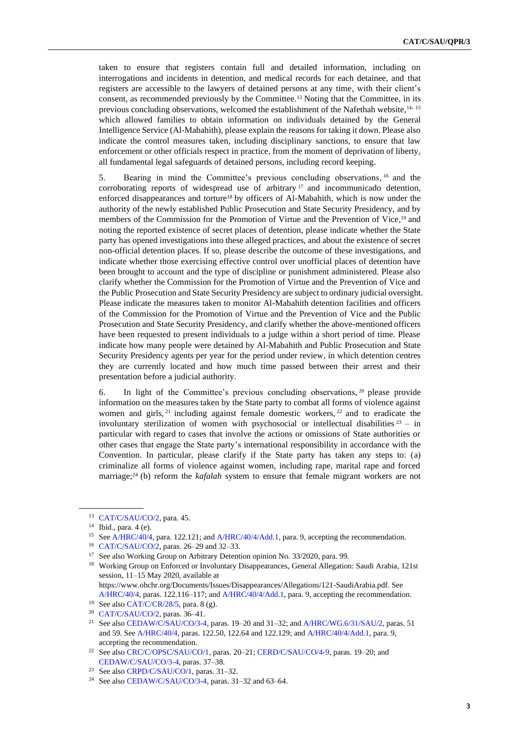taken to ensure that registers contain full and detailed information, including on interrogations and incidents in detention, and medical records for each detainee, and that registers are accessible to the lawyers of detained persons at any time, with their client's consent, as recommended previously by the Committee.<sup>13</sup> Noting that the Committee, in its previous concluding observations, welcomed the establishment of the Nafethah website, 14, 15 which allowed families to obtain information on individuals detained by the General Intelligence Service (Al-Mabahith), please explain the reasons for taking it down. Please also indicate the control measures taken, including disciplinary sanctions, to ensure that law enforcement or other officials respect in practice, from the moment of deprivation of liberty, all fundamental legal safeguards of detained persons, including record keeping.

5. Bearing in mind the Committee's previous concluding observations, <sup>16</sup> and the corroborating reports of widespread use of arbitrary <sup>17</sup> and incommunicado detention, enforced disappearances and torture<sup>18</sup> by officers of Al-Mabahith, which is now under the authority of the newly established Public Prosecution and State Security Presidency, and by members of the Commission for the Promotion of Virtue and the Prevention of Vice,<sup>19</sup> and noting the reported existence of secret places of detention, please indicate whether the State party has opened investigations into these alleged practices, and about the existence of secret non-official detention places. If so, please describe the outcome of these investigations, and indicate whether those exercising effective control over unofficial places of detention have been brought to account and the type of discipline or punishment administered. Please also clarify whether the Commission for the Promotion of Virtue and the Prevention of Vice and the Public Prosecution and State Security Presidency are subject to ordinary judicial oversight. Please indicate the measures taken to monitor Al-Mabahith detention facilities and officers of the Commission for the Promotion of Virtue and the Prevention of Vice and the Public Prosecution and State Security Presidency, and clarify whether the above-mentioned officers have been requested to present individuals to a judge within a short period of time. Please indicate how many people were detained by Al-Mabahith and Public Prosecution and State Security Presidency agents per year for the period under review, in which detention centres they are currently located and how much time passed between their arrest and their presentation before a judicial authority.

6. In light of the Committee's previous concluding observations, <sup>20</sup> please provide information on the measures taken by the State party to combat all forms of violence against women and girls,  $2<sup>1</sup>$  including against female domestic workers,  $2<sup>2</sup>$  and to eradicate the involuntary sterilization of women with psychosocial or intellectual disabilities  $23 - in$ particular with regard to cases that involve the actions or omissions of State authorities or other cases that engage the State party's international responsibility in accordance with the Convention. In particular, please clarify if the State party has taken any steps to: (a) criminalize all forms of violence against women, including rape, marital rape and forced marriage;<sup>24</sup> (b) reform the *kafalah* system to ensure that female migrant workers are not

<sup>13</sup> [CAT/C/SAU/CO/2,](http://undocs.org/en/CAT/C/SAU/CO/2) para. 45.

<sup>14</sup> Ibid., para. 4 (e).

<sup>&</sup>lt;sup>15</sup> Se[e A/HRC/40/4,](http://undocs.org/en/A/HRC/40/4) para. 122.121; an[d A/HRC/40/4/Add.1,](http://undocs.org/en/A/HRC/40/4/Add.1) para. 9, accepting the recommendation.

<sup>16</sup> [CAT/C/SAU/CO/2,](http://undocs.org/en/CAT/C/SAU/CO/2) paras. 26–29 and 32–33.

<sup>&</sup>lt;sup>17</sup> See also Working Group on Arbitrary Detention opinion No. 33/2020, para. 99.

<sup>&</sup>lt;sup>18</sup> Working Group on Enforced or Involuntary Disappearances, General Allegation: Saudi Arabia, 121st session, 11–15 May 2020, available at

https://www.ohchr.org/Documents/Issues/Disappearances/Allegations/121-SaudiArabia.pdf. See [A/HRC/40/4,](http://undocs.org/en/A/HRC/40/4) paras. 122.116–117; an[d A/HRC/40/4/Add.1,](http://undocs.org/en/A/HRC/40/4/Add.1) para. 9, accepting the recommendation. <sup>19</sup> See also [CAT/C/CR/28/5,](http://undocs.org/en/CAT/C/CR/28/5) para. 8 (g).

<sup>20</sup> [CAT/C/SAU/CO/2,](http://undocs.org/en/CAT/C/SAU/CO/2) paras. 36–41.

<sup>&</sup>lt;sup>21</sup> See also [CEDAW/C/SAU/CO/3-4,](http://undocs.org/en/CEDAW/C/SAU/CO/3-4) paras. 19-20 and 31-32; an[d A/HRC/WG.6/31/SAU/2,](http://undocs.org/en/A/HRC/WG.6/31/SAU/2) paras. 51 and 59. Se[e A/HRC/40/4,](http://undocs.org/en/A/HRC/40/4) paras. 122.50, 122.64 and 122.129; and [A/HRC/40/4/Add.1,](http://undocs.org/en/A/HRC/40/4/Add.1) para. 9, accepting the recommendation.

<sup>22</sup> See also [CRC/C/OPSC/SAU/CO/1,](http://undocs.org/en/CRC/C/OPSC/SAU/CO/1) paras. 20–21[; CERD/C/SAU/CO/4-9,](http://undocs.org/en/CERD/C/SAU/CO/4-9) paras. 19–20; and [CEDAW/C/SAU/CO/3-4,](http://undocs.org/en/CEDAW/C/SAU/CO/3-4) paras. 37–38.

<sup>&</sup>lt;sup>23</sup> See also [CRPD/C/SAU/CO/1,](http://undocs.org/en/CRPD/C/SAU/CO/1) paras. 31-32.

<sup>&</sup>lt;sup>24</sup> See also [CEDAW/C/SAU/CO/3-4,](http://undocs.org/en/CEDAW/C/SAU/CO/3-4) paras. 31-32 and 63-64.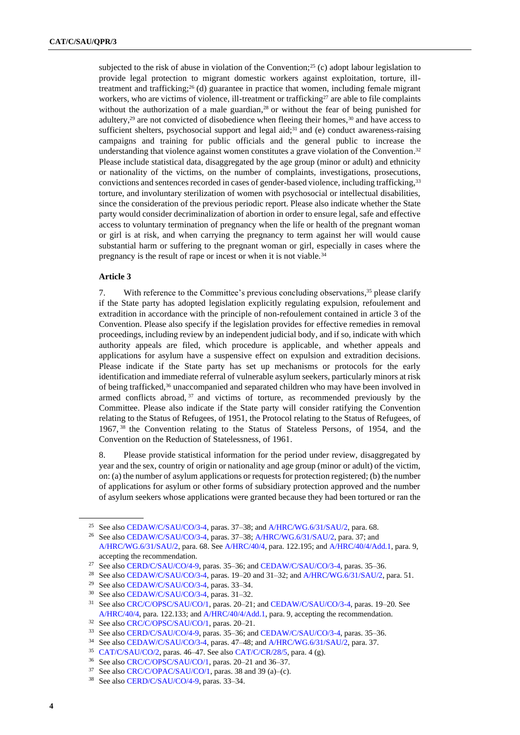subjected to the risk of abuse in violation of the Convention;<sup>25</sup> (c) adopt labour legislation to provide legal protection to migrant domestic workers against exploitation, torture, illtreatment and trafficking;<sup>26</sup> (d) guarantee in practice that women, including female migrant workers, who are victims of violence, ill-treatment or trafficking<sup>27</sup> are able to file complaints without the authorization of a male guardian,<sup>28</sup> or without the fear of being punished for adultery,<sup>29</sup> are not convicted of disobedience when fleeing their homes,<sup>30</sup> and have access to sufficient shelters, psychosocial support and legal aid;<sup>31</sup> and (e) conduct awareness-raising campaigns and training for public officials and the general public to increase the understanding that violence against women constitutes a grave violation of the Convention.<sup>32</sup> Please include statistical data, disaggregated by the age group (minor or adult) and ethnicity or nationality of the victims, on the number of complaints, investigations, prosecutions, convictions and sentences recorded in cases of gender-based violence, including trafficking,<sup>33</sup> torture, and involuntary sterilization of women with psychosocial or intellectual disabilities, since the consideration of the previous periodic report. Please also indicate whether the State party would consider decriminalization of abortion in order to ensure legal, safe and effective access to voluntary termination of pregnancy when the life or health of the pregnant woman or girl is at risk, and when carrying the pregnancy to term against her will would cause substantial harm or suffering to the pregnant woman or girl, especially in cases where the pregnancy is the result of rape or incest or when it is not viable.<sup>34</sup>

#### **Article 3**

7. With reference to the Committee's previous concluding observations, <sup>35</sup> please clarify if the State party has adopted legislation explicitly regulating expulsion, refoulement and extradition in accordance with the principle of non-refoulement contained in article 3 of the Convention. Please also specify if the legislation provides for effective remedies in removal proceedings, including review by an independent judicial body, and if so, indicate with which authority appeals are filed, which procedure is applicable, and whether appeals and applications for asylum have a suspensive effect on expulsion and extradition decisions. Please indicate if the State party has set up mechanisms or protocols for the early identification and immediate referral of vulnerable asylum seekers, particularly minors at risk of being trafficked, $36$  unaccompanied and separated children who may have been involved in armed conflicts abroad, <sup>37</sup> and victims of torture, as recommended previously by the Committee. Please also indicate if the State party will consider ratifying the Convention relating to the Status of Refugees, of 1951, the Protocol relating to the Status of Refugees, of 1967, <sup>38</sup> the Convention relating to the Status of Stateless Persons, of 1954, and the Convention on the Reduction of Statelessness, of 1961.

8. Please provide statistical information for the period under review, disaggregated by year and the sex, country of origin or nationality and age group (minor or adult) of the victim, on: (a) the number of asylum applications or requests for protection registered; (b) the number of applications for asylum or other forms of subsidiary protection approved and the number of asylum seekers whose applications were granted because they had been tortured or ran the

<sup>&</sup>lt;sup>25</sup> See also [CEDAW/C/SAU/CO/3-4,](http://undocs.org/en/CEDAW/C/SAU/CO/3-4) paras. 37–38; an[d A/HRC/WG.6/31/SAU/2,](http://undocs.org/en/A/HRC/WG.6/31/SAU/2) para. 68.

<sup>&</sup>lt;sup>26</sup> See also [CEDAW/C/SAU/CO/3-4,](http://undocs.org/en/CEDAW/C/SAU/CO/3-4) paras. 37–38; [A/HRC/WG.6/31/SAU/2,](http://undocs.org/en/A/HRC/WG.6/31/SAU/2) para. 37; and

[A/HRC/WG.6/31/SAU/2,](http://undocs.org/en/A/HRC/WG.6/31/SAU/2) para. 68. Se[e A/HRC/40/4,](http://undocs.org/en/A/HRC/40/4) para. 122.195; and [A/HRC/40/4/Add.1,](http://undocs.org/en/A/HRC/40/4/Add.1) para. 9, accepting the recommendation.

<sup>27</sup> See also [CERD/C/SAU/CO/4-9,](http://undocs.org/en/CERD/C/SAU/CO/4-9) paras. 35–36; an[d CEDAW/C/SAU/CO/3-4,](http://undocs.org/en/CEDAW/C/SAU/CO/3-4) paras. 35–36.

<sup>&</sup>lt;sup>28</sup> See also [CEDAW/C/SAU/CO/3-4,](http://undocs.org/en/CEDAW/C/SAU/CO/3-4) paras. 19-20 and 31-32; an[d A/HRC/WG.6/31/SAU/2,](http://undocs.org/en/A/HRC/WG.6/31/SAU/2) para. 51.

<sup>29</sup> See also [CEDAW/C/SAU/CO/3-4,](http://undocs.org/en/CEDAW/C/SAU/CO/3-4) paras. 33–34.

<sup>30</sup> See also [CEDAW/C/SAU/CO/3-4,](http://undocs.org/en/CEDAW/C/SAU/CO/3-4) paras. 31–32.

<sup>31</sup> See also [CRC/C/OPSC/SAU/CO/1,](http://undocs.org/en/CRC/C/OPSC/SAU/CO/1) paras. 20–21; and [CEDAW/C/SAU/CO/3-4,](http://undocs.org/en/CEDAW/C/SAU/CO/3-4) paras. 19–20. See [A/HRC/40/4,](http://undocs.org/en/A/HRC/40/4) para. 122.133; and [A/HRC/40/4/Add.1,](http://undocs.org/en/A/HRC/40/4/Add.1) para. 9, accepting the recommendation.

<sup>32</sup> See also [CRC/C/OPSC/SAU/CO/1,](http://undocs.org/en/CRC/C/OPSC/SAU/CO/1) paras. 20–21.

<sup>33</sup> See also [CERD/C/SAU/CO/4-9,](http://undocs.org/en/CERD/C/SAU/CO/4-9) paras. 35–36; an[d CEDAW/C/SAU/CO/3-4,](http://undocs.org/en/CEDAW/C/SAU/CO/3-4) paras. 35–36.

<sup>&</sup>lt;sup>34</sup> See also [CEDAW/C/SAU/CO/3-4,](http://undocs.org/en/CEDAW/C/SAU/CO/3-4) paras. 47-48; an[d A/HRC/WG.6/31/SAU/2,](http://undocs.org/en/A/HRC/WG.6/31/SAU/2) para. 37.

<sup>35</sup> [CAT/C/SAU/CO/2,](http://undocs.org/en/CAT/C/SAU/CO/2) paras. 46–47. See als[o CAT/C/CR/28/5,](http://undocs.org/en/CAT/C/CR/28/5) para. 4 (g).

<sup>36</sup> See also [CRC/C/OPSC/SAU/CO/1,](http://undocs.org/en/CRC/C/OPSC/SAU/CO/1) paras. 20–21 and 36–37.

<sup>37</sup> See also [CRC/C/OPAC/SAU/CO/1,](http://undocs.org/en/CRC/C/OPAC/SAU/CO/1) paras. 38 and 39 (a)–(c).

<sup>38</sup> See also [CERD/C/SAU/CO/4-9,](http://undocs.org/en/CERD/C/SAU/CO/4-9) paras. 33–34.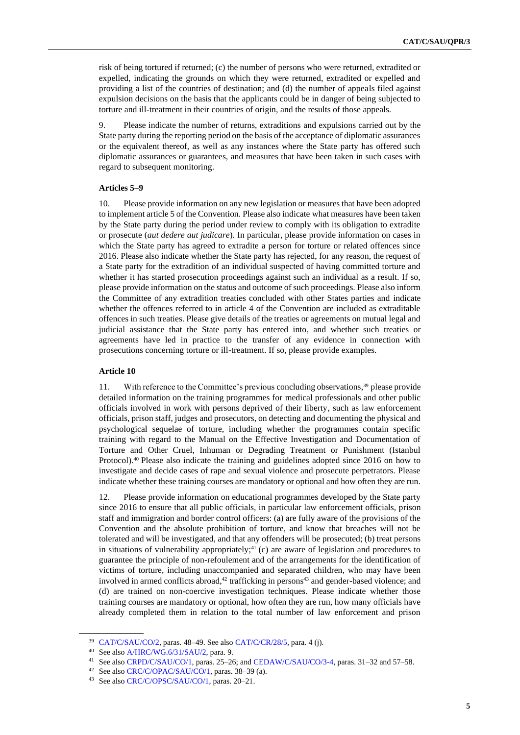risk of being tortured if returned; (c) the number of persons who were returned, extradited or expelled, indicating the grounds on which they were returned, extradited or expelled and providing a list of the countries of destination; and (d) the number of appeals filed against expulsion decisions on the basis that the applicants could be in danger of being subjected to torture and ill-treatment in their countries of origin, and the results of those appeals.

9. Please indicate the number of returns, extraditions and expulsions carried out by the State party during the reporting period on the basis of the acceptance of diplomatic assurances or the equivalent thereof, as well as any instances where the State party has offered such diplomatic assurances or guarantees, and measures that have been taken in such cases with regard to subsequent monitoring.

## **Articles 5–9**

10. Please provide information on any new legislation or measures that have been adopted to implement article 5 of the Convention. Please also indicate what measures have been taken by the State party during the period under review to comply with its obligation to extradite or prosecute (*aut dedere aut judicare*). In particular, please provide information on cases in which the State party has agreed to extradite a person for torture or related offences since 2016. Please also indicate whether the State party has rejected, for any reason, the request of a State party for the extradition of an individual suspected of having committed torture and whether it has started prosecution proceedings against such an individual as a result. If so, please provide information on the status and outcome of such proceedings. Please also inform the Committee of any extradition treaties concluded with other States parties and indicate whether the offences referred to in article 4 of the Convention are included as extraditable offences in such treaties. Please give details of the treaties or agreements on mutual legal and judicial assistance that the State party has entered into, and whether such treaties or agreements have led in practice to the transfer of any evidence in connection with prosecutions concerning torture or ill-treatment. If so, please provide examples.

### **Article 10**

11. With reference to the Committee's previous concluding observations, <sup>39</sup> please provide detailed information on the training programmes for medical professionals and other public officials involved in work with persons deprived of their liberty, such as law enforcement officials, prison staff, judges and prosecutors, on detecting and documenting the physical and psychological sequelae of torture, including whether the programmes contain specific training with regard to the Manual on the Effective Investigation and Documentation of Torture and Other Cruel, Inhuman or Degrading Treatment or Punishment (Istanbul Protocol).<sup>40</sup> Please also indicate the training and guidelines adopted since 2016 on how to investigate and decide cases of rape and sexual violence and prosecute perpetrators. Please indicate whether these training courses are mandatory or optional and how often they are run.

12. Please provide information on educational programmes developed by the State party since 2016 to ensure that all public officials, in particular law enforcement officials, prison staff and immigration and border control officers: (a) are fully aware of the provisions of the Convention and the absolute prohibition of torture, and know that breaches will not be tolerated and will be investigated, and that any offenders will be prosecuted; (b) treat persons in situations of vulnerability appropriately;<sup>41</sup> $(c)$  are aware of legislation and procedures to guarantee the principle of non-refoulement and of the arrangements for the identification of victims of torture, including unaccompanied and separated children, who may have been involved in armed conflicts abroad, $42$  trafficking in persons $43$  and gender-based violence; and (d) are trained on non-coercive investigation techniques. Please indicate whether those training courses are mandatory or optional, how often they are run, how many officials have already completed them in relation to the total number of law enforcement and prison

<sup>39</sup> [CAT/C/SAU/CO/2,](http://undocs.org/en/CAT/C/SAU/CO/2) paras. 48–49. See als[o CAT/C/CR/28/5,](http://undocs.org/en/CAT/C/CR/28/5) para. 4 (j).

<sup>40</sup> See also [A/HRC/WG.6/31/SAU/2,](http://undocs.org/en/A/HRC/WG.6/31/SAU/2) para. 9.

<sup>41</sup> See also [CRPD/C/SAU/CO/1,](http://undocs.org/en/CRPD/C/SAU/CO/1) paras. 25–26; an[d CEDAW/C/SAU/CO/3-4,](http://undocs.org/en/CEDAW/C/SAU/CO/3-4) paras. 31–32 and 57–58.

<sup>42</sup> See also [CRC/C/OPAC/SAU/CO/1,](http://undocs.org/en/CRC/C/OPAC/SAU/CO/1) paras. 38–39 (a).

<sup>43</sup> See also [CRC/C/OPSC/SAU/CO/1,](http://undocs.org/en/CRC/C/OPSC/SAU/CO/1) paras. 20–21.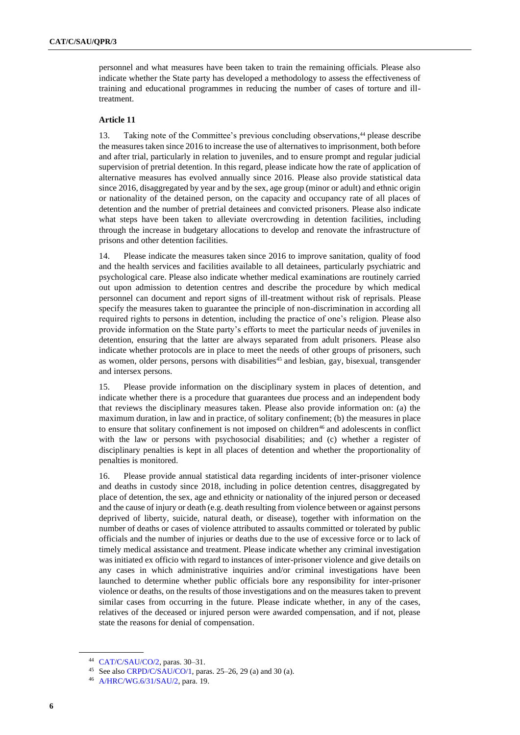personnel and what measures have been taken to train the remaining officials. Please also indicate whether the State party has developed a methodology to assess the effectiveness of training and educational programmes in reducing the number of cases of torture and illtreatment.

#### **Article 11**

13. Taking note of the Committee's previous concluding observations, <sup>44</sup> please describe the measures taken since 2016 to increase the use of alternatives to imprisonment, both before and after trial, particularly in relation to juveniles, and to ensure prompt and regular judicial supervision of pretrial detention. In this regard, please indicate how the rate of application of alternative measures has evolved annually since 2016. Please also provide statistical data since 2016, disaggregated by year and by the sex, age group (minor or adult) and ethnic origin or nationality of the detained person, on the capacity and occupancy rate of all places of detention and the number of pretrial detainees and convicted prisoners. Please also indicate what steps have been taken to alleviate overcrowding in detention facilities, including through the increase in budgetary allocations to develop and renovate the infrastructure of prisons and other detention facilities.

14. Please indicate the measures taken since 2016 to improve sanitation, quality of food and the health services and facilities available to all detainees, particularly psychiatric and psychological care. Please also indicate whether medical examinations are routinely carried out upon admission to detention centres and describe the procedure by which medical personnel can document and report signs of ill-treatment without risk of reprisals. Please specify the measures taken to guarantee the principle of non-discrimination in according all required rights to persons in detention, including the practice of one's religion. Please also provide information on the State party's efforts to meet the particular needs of juveniles in detention, ensuring that the latter are always separated from adult prisoners. Please also indicate whether protocols are in place to meet the needs of other groups of prisoners, such as women, older persons, persons with disabilities<sup>45</sup> and lesbian, gay, bisexual, transgender and intersex persons.

15. Please provide information on the disciplinary system in places of detention, and indicate whether there is a procedure that guarantees due process and an independent body that reviews the disciplinary measures taken. Please also provide information on: (a) the maximum duration, in law and in practice, of solitary confinement; (b) the measures in place to ensure that solitary confinement is not imposed on children<sup>46</sup> and adolescents in conflict with the law or persons with psychosocial disabilities; and (c) whether a register of disciplinary penalties is kept in all places of detention and whether the proportionality of penalties is monitored.

16. Please provide annual statistical data regarding incidents of inter-prisoner violence and deaths in custody since 2018, including in police detention centres, disaggregated by place of detention, the sex, age and ethnicity or nationality of the injured person or deceased and the cause of injury or death (e.g. death resulting from violence between or against persons deprived of liberty, suicide, natural death, or disease), together with information on the number of deaths or cases of violence attributed to assaults committed or tolerated by public officials and the number of injuries or deaths due to the use of excessive force or to lack of timely medical assistance and treatment. Please indicate whether any criminal investigation was initiated ex officio with regard to instances of inter-prisoner violence and give details on any cases in which administrative inquiries and/or criminal investigations have been launched to determine whether public officials bore any responsibility for inter-prisoner violence or deaths, on the results of those investigations and on the measures taken to prevent similar cases from occurring in the future. Please indicate whether, in any of the cases, relatives of the deceased or injured person were awarded compensation, and if not, please state the reasons for denial of compensation.

<sup>44</sup> [CAT/C/SAU/CO/2,](http://undocs.org/en/CAT/C/SAU/CO/2) paras. 30–31.

<sup>45</sup> See also [CRPD/C/SAU/CO/1,](http://undocs.org/en/CRPD/C/SAU/CO/1) paras. 25–26, 29 (a) and 30 (a).

<sup>46</sup> [A/HRC/WG.6/31/SAU/2,](http://undocs.org/en/A/HRC/WG.6/31/SAU/2) para. 19.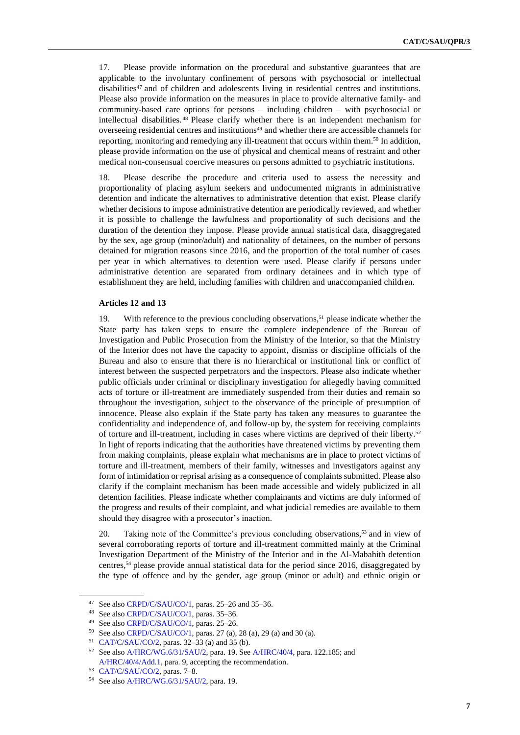17. Please provide information on the procedural and substantive guarantees that are applicable to the involuntary confinement of persons with psychosocial or intellectual disabilities<sup>47</sup> and of children and adolescents living in residential centres and institutions. Please also provide information on the measures in place to provide alternative family- and community-based care options for persons – including children – with psychosocial or intellectual disabilities. <sup>48</sup> Please clarify whether there is an independent mechanism for overseeing residential centres and institutions<sup>49</sup> and whether there are accessible channels for reporting, monitoring and remedying any ill-treatment that occurs within them.<sup>50</sup> In addition, please provide information on the use of physical and chemical means of restraint and other medical non-consensual coercive measures on persons admitted to psychiatric institutions.

18. Please describe the procedure and criteria used to assess the necessity and proportionality of placing asylum seekers and undocumented migrants in administrative detention and indicate the alternatives to administrative detention that exist. Please clarify whether decisions to impose administrative detention are periodically reviewed, and whether it is possible to challenge the lawfulness and proportionality of such decisions and the duration of the detention they impose. Please provide annual statistical data, disaggregated by the sex, age group (minor/adult) and nationality of detainees, on the number of persons detained for migration reasons since 2016, and the proportion of the total number of cases per year in which alternatives to detention were used. Please clarify if persons under administrative detention are separated from ordinary detainees and in which type of establishment they are held, including families with children and unaccompanied children.

### **Articles 12 and 13**

19. With reference to the previous concluding observations,<sup>51</sup> please indicate whether the State party has taken steps to ensure the complete independence of the Bureau of Investigation and Public Prosecution from the Ministry of the Interior, so that the Ministry of the Interior does not have the capacity to appoint, dismiss or discipline officials of the Bureau and also to ensure that there is no hierarchical or institutional link or conflict of interest between the suspected perpetrators and the inspectors. Please also indicate whether public officials under criminal or disciplinary investigation for allegedly having committed acts of torture or ill-treatment are immediately suspended from their duties and remain so throughout the investigation, subject to the observance of the principle of presumption of innocence. Please also explain if the State party has taken any measures to guarantee the confidentiality and independence of, and follow-up by, the system for receiving complaints of torture and ill-treatment, including in cases where victims are deprived of their liberty.<sup>52</sup> In light of reports indicating that the authorities have threatened victims by preventing them from making complaints, please explain what mechanisms are in place to protect victims of torture and ill-treatment, members of their family, witnesses and investigators against any form of intimidation or reprisal arising as a consequence of complaints submitted. Please also clarify if the complaint mechanism has been made accessible and widely publicized in all detention facilities. Please indicate whether complainants and victims are duly informed of the progress and results of their complaint, and what judicial remedies are available to them should they disagree with a prosecutor's inaction.

20. Taking note of the Committee's previous concluding observations,<sup>53</sup> and in view of several corroborating reports of torture and ill-treatment committed mainly at the Criminal Investigation Department of the Ministry of the Interior and in the Al-Mabahith detention centres,<sup>54</sup> please provide annual statistical data for the period since 2016, disaggregated by the type of offence and by the gender, age group (minor or adult) and ethnic origin or

<sup>47</sup> See also [CRPD/C/SAU/CO/1,](http://undocs.org/en/CRPD/C/SAU/CO/1) paras. 25–26 and 35–36.

<sup>48</sup> See also [CRPD/C/SAU/CO/1,](http://undocs.org/en/CRPD/C/SAU/CO/1) paras. 35–36.

<sup>49</sup> See also [CRPD/C/SAU/CO/1,](http://undocs.org/en/CRPD/C/SAU/CO/1) paras. 25–26.

<sup>50</sup> See also [CRPD/C/SAU/CO/1,](http://undocs.org/en/CRPD/C/SAU/CO/1) paras. 27 (a), 28 (a), 29 (a) and 30 (a).

<sup>51</sup> [CAT/C/SAU/CO/2,](http://undocs.org/en/CAT/C/SAU/CO/2) paras. 32–33 (a) and 35 (b).

<sup>52</sup> See also [A/HRC/WG.6/31/SAU/2,](http://undocs.org/en/A/HRC/WG.6/31/SAU/2) para. 19. Se[e A/HRC/40/4,](http://undocs.org/en/A/HRC/40/4) para. 122.185; and [A/HRC/40/4/Add.1,](http://undocs.org/en/A/HRC/40/4/Add.1) para. 9, accepting the recommendation.

<sup>53</sup> [CAT/C/SAU/CO/2,](http://undocs.org/en/CAT/C/SAU/CO/2) paras. 7–8.

<sup>54</sup> See also [A/HRC/WG.6/31/SAU/2,](http://undocs.org/en/A/HRC/WG.6/31/SAU/2) para. 19.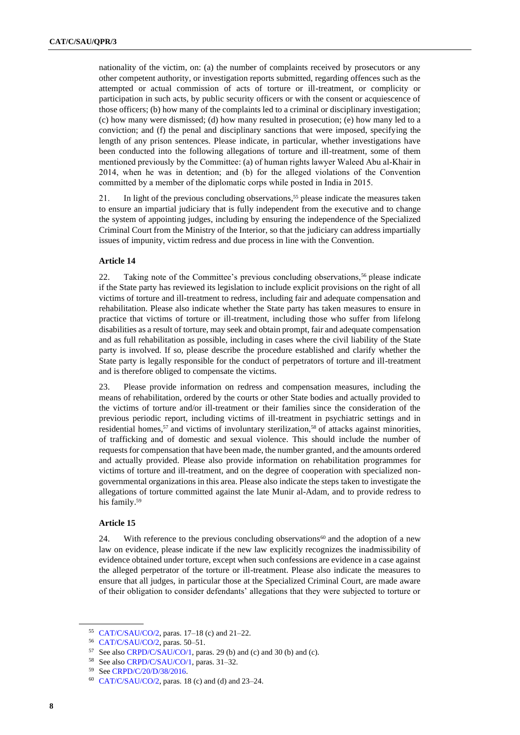nationality of the victim, on: (a) the number of complaints received by prosecutors or any other competent authority, or investigation reports submitted, regarding offences such as the attempted or actual commission of acts of torture or ill-treatment, or complicity or participation in such acts, by public security officers or with the consent or acquiescence of those officers; (b) how many of the complaints led to a criminal or disciplinary investigation; (c) how many were dismissed; (d) how many resulted in prosecution; (e) how many led to a conviction; and (f) the penal and disciplinary sanctions that were imposed, specifying the length of any prison sentences. Please indicate, in particular, whether investigations have been conducted into the following allegations of torture and ill-treatment, some of them mentioned previously by the Committee: (a) of human rights lawyer Waleed Abu al-Khair in 2014, when he was in detention; and (b) for the alleged violations of the Convention committed by a member of the diplomatic corps while posted in India in 2015.

21. In light of the previous concluding observations, <sup>55</sup> please indicate the measures taken to ensure an impartial judiciary that is fully independent from the executive and to change the system of appointing judges, including by ensuring the independence of the Specialized Criminal Court from the Ministry of the Interior, so that the judiciary can address impartially issues of impunity, victim redress and due process in line with the Convention.

### **Article 14**

22. Taking note of the Committee's previous concluding observations,<sup>56</sup> please indicate if the State party has reviewed its legislation to include explicit provisions on the right of all victims of torture and ill-treatment to redress, including fair and adequate compensation and rehabilitation. Please also indicate whether the State party has taken measures to ensure in practice that victims of torture or ill-treatment, including those who suffer from lifelong disabilities as a result of torture, may seek and obtain prompt, fair and adequate compensation and as full rehabilitation as possible, including in cases where the civil liability of the State party is involved. If so, please describe the procedure established and clarify whether the State party is legally responsible for the conduct of perpetrators of torture and ill-treatment and is therefore obliged to compensate the victims.

23. Please provide information on redress and compensation measures, including the means of rehabilitation, ordered by the courts or other State bodies and actually provided to the victims of torture and/or ill-treatment or their families since the consideration of the previous periodic report, including victims of ill-treatment in psychiatric settings and in residential homes,<sup>57</sup> and victims of involuntary sterilization,<sup>58</sup> of attacks against minorities, of trafficking and of domestic and sexual violence. This should include the number of requests for compensation that have been made, the number granted, and the amounts ordered and actually provided. Please also provide information on rehabilitation programmes for victims of torture and ill-treatment, and on the degree of cooperation with specialized nongovernmental organizations in this area. Please also indicate the steps taken to investigate the allegations of torture committed against the late Munir al-Adam, and to provide redress to his family.<sup>59</sup>

#### **Article 15**

24. With reference to the previous concluding observations<sup>60</sup> and the adoption of a new law on evidence, please indicate if the new law explicitly recognizes the inadmissibility of evidence obtained under torture, except when such confessions are evidence in a case against the alleged perpetrator of the torture or ill-treatment. Please also indicate the measures to ensure that all judges, in particular those at the Specialized Criminal Court, are made aware of their obligation to consider defendants' allegations that they were subjected to torture or

<sup>55</sup> [CAT/C/SAU/CO/2,](http://undocs.org/en/CAT/C/SAU/CO/2) paras. 17–18 (c) and 21–22.

<sup>56</sup> [CAT/C/SAU/CO/2,](http://undocs.org/en/CAT/C/SAU/CO/2) paras. 50–51.

<sup>57</sup> See also [CRPD/C/SAU/CO/1,](http://undocs.org/en/CRPD/C/SAU/CO/1) paras. 29 (b) and (c) and 30 (b) and (c).

<sup>58</sup> See also [CRPD/C/SAU/CO/1,](http://undocs.org/en/CRPD/C/SAU/CO/1) paras. 31–32.

<sup>59</sup> Se[e CRPD/C/20/D/38/2016.](https://undocs.org/en/CRPD/C/20/D/38/2016)

<sup>60</sup> [CAT/C/SAU/CO/2,](http://undocs.org/en/CAT/C/SAU/CO/2) paras. 18 (c) and (d) and 23–24.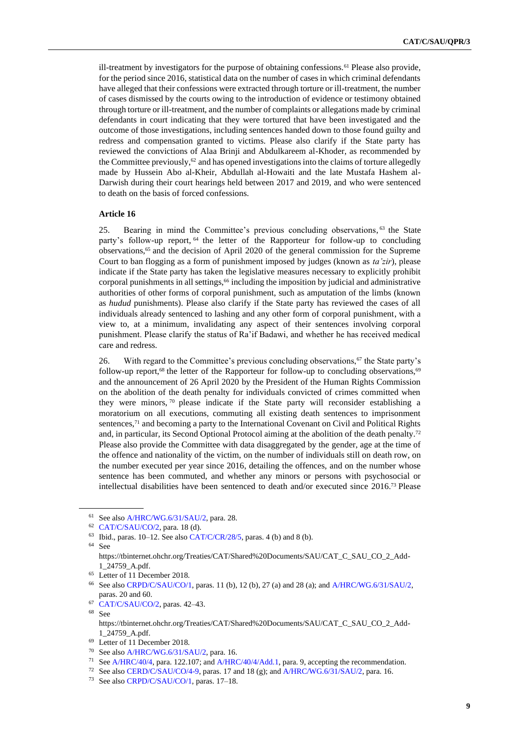ill-treatment by investigators for the purpose of obtaining confessions.<sup>61</sup> Please also provide, for the period since 2016, statistical data on the number of cases in which criminal defendants have alleged that their confessions were extracted through torture or ill-treatment, the number of cases dismissed by the courts owing to the introduction of evidence or testimony obtained through torture or ill-treatment, and the number of complaints or allegations made by criminal defendants in court indicating that they were tortured that have been investigated and the outcome of those investigations, including sentences handed down to those found guilty and redress and compensation granted to victims. Please also clarify if the State party has reviewed the convictions of Alaa Brinji and Abdulkareem al-Khoder, as recommended by the Committee previously, $62$  and has opened investigations into the claims of torture allegedly made by Hussein Abo al-Kheir, Abdullah al-Howaiti and the late Mustafa Hashem al-Darwish during their court hearings held between 2017 and 2019, and who were sentenced to death on the basis of forced confessions.

#### **Article 16**

25. Bearing in mind the Committee's previous concluding observations, <sup>63</sup> the State party's follow-up report, <sup>64</sup> the letter of the Rapporteur for follow-up to concluding observations,<sup>65</sup> and the decision of April 2020 of the general commission for the Supreme Court to ban flogging as a form of punishment imposed by judges (known as *ta'zir*), please indicate if the State party has taken the legislative measures necessary to explicitly prohibit corporal punishments in all settings,<sup>66</sup> including the imposition by judicial and administrative authorities of other forms of corporal punishment, such as amputation of the limbs (known as *hudud* punishments). Please also clarify if the State party has reviewed the cases of all individuals already sentenced to lashing and any other form of corporal punishment, with a view to, at a minimum, invalidating any aspect of their sentences involving corporal punishment. Please clarify the status of Ra'if Badawi, and whether he has received medical care and redress.

26. With regard to the Committee's previous concluding observations,<sup>67</sup> the State party's follow-up report,<sup>68</sup> the letter of the Rapporteur for follow-up to concluding observations,<sup>69</sup> and the announcement of 26 April 2020 by the President of the Human Rights Commission on the abolition of the death penalty for individuals convicted of crimes committed when they were minors,  $\frac{70}{10}$  please indicate if the State party will reconsider establishing a moratorium on all executions, commuting all existing death sentences to imprisonment sentences,<sup>71</sup> and becoming a party to the International Covenant on Civil and Political Rights and, in particular, its Second Optional Protocol aiming at the abolition of the death penalty.<sup>72</sup> Please also provide the Committee with data disaggregated by the gender, age at the time of the offence and nationality of the victim, on the number of individuals still on death row, on the number executed per year since 2016, detailing the offences, and on the number whose sentence has been commuted, and whether any minors or persons with psychosocial or intellectual disabilities have been sentenced to death and/or executed since 2016.<sup>73</sup> Please

<sup>61</sup> See also [A/HRC/WG.6/31/SAU/2,](http://undocs.org/en/A/HRC/WG.6/31/SAU/2) para. 28.

<sup>62</sup> [CAT/C/SAU/CO/2,](http://undocs.org/en/CAT/C/SAU/CO/2) para. 18 (d).

<sup>&</sup>lt;sup>63</sup> Ibid., paras. 10–12. See also [CAT/C/CR/28/5,](http://undocs.org/en/CAT/C/CR/28/5) paras. 4 (b) and 8 (b).

<sup>64</sup> See

https://tbinternet.ohchr.org/Treaties/CAT/Shared%20Documents/SAU/CAT\_C\_SAU\_CO\_2\_Add-1\_24759\_A.pdf.

<sup>65</sup> Letter of 11 December 2018.

<sup>66</sup> See also [CRPD/C/SAU/CO/1,](http://undocs.org/en/CRPD/C/SAU/CO/1) paras. 11 (b), 12 (b), 27 (a) and 28 (a); and [A/HRC/WG.6/31/SAU/2,](http://undocs.org/en/A/HRC/WG.6/31/SAU/2) paras. 20 and 60.

<sup>67</sup> [CAT/C/SAU/CO/2,](http://undocs.org/en/CAT/C/SAU/CO/2) paras. 42–43.

<sup>68</sup> See

https://tbinternet.ohchr.org/Treaties/CAT/Shared%20Documents/SAU/CAT\_C\_SAU\_CO\_2\_Add-1\_24759\_A.pdf.

<sup>69</sup> Letter of 11 December 2018.

<sup>70</sup> See also [A/HRC/WG.6/31/SAU/2,](http://undocs.org/en/A/HRC/WG.6/31/SAU/2) para. 16.

<sup>&</sup>lt;sup>71</sup> Se[e A/HRC/40/4,](http://undocs.org/en/A/HRC/40/4) para. 122.107; an[d A/HRC/40/4/Add.1,](http://undocs.org/en/A/HRC/40/4/Add.1) para. 9, accepting the recommendation.

<sup>72</sup> See also [CERD/C/SAU/CO/4-9,](http://undocs.org/en/CERD/C/SAU/CO/4-9) paras. 17 and 18 (g); and [A/HRC/WG.6/31/SAU/2,](http://undocs.org/en/A/HRC/WG.6/31/SAU/2) para. 16.

<sup>73</sup> See also [CRPD/C/SAU/CO/1,](http://undocs.org/en/CRPD/C/SAU/CO/1) paras. 17–18.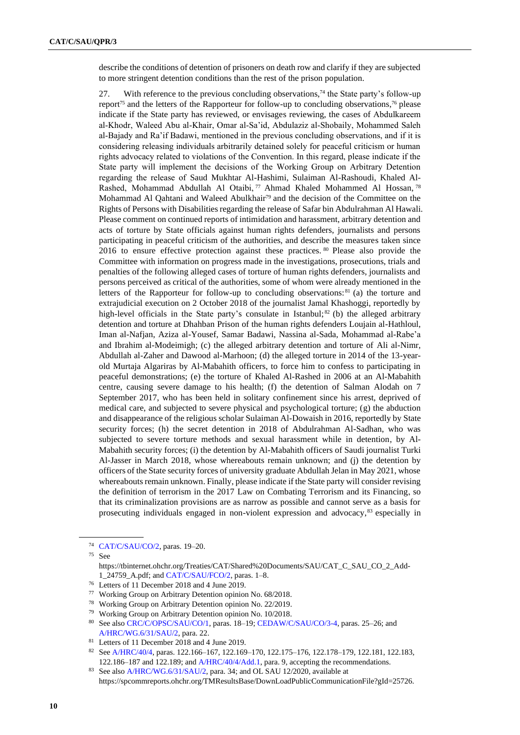describe the conditions of detention of prisoners on death row and clarify if they are subjected to more stringent detention conditions than the rest of the prison population.

27. With reference to the previous concluding observations,<sup>74</sup> the State party's follow-up report<sup>75</sup> and the letters of the Rapporteur for follow-up to concluding observations,<sup>76</sup> please indicate if the State party has reviewed, or envisages reviewing, the cases of Abdulkareem al-Khodr, Waleed Abu al-Khair, Omar al-Sa'id, Abdulaziz al-Shobaily, Mohammed Saleh al-Bajady and Ra'if Badawi, mentioned in the previous concluding observations, and if it is considering releasing individuals arbitrarily detained solely for peaceful criticism or human rights advocacy related to violations of the Convention. In this regard, please indicate if the State party will implement the decisions of the Working Group on Arbitrary Detention regarding the release of Saud Mukhtar Al-Hashimi, Sulaiman Al-Rashoudi, Khaled Al-Rashed, Mohammad Abdullah Al Otaibi, <sup>77</sup> Ahmad Khaled Mohammed Al Hossan, <sup>78</sup> Mohammad Al Qahtani and Waleed Abulkhair<sup>79</sup> and the decision of the Committee on the Rights of Persons with Disabilities regarding the release of Safar bin Abdulrahman Al Hawali. Please comment on continued reports of intimidation and harassment, arbitrary detention and acts of torture by State officials against human rights defenders, journalists and persons participating in peaceful criticism of the authorities, and describe the measures taken since 2016 to ensure effective protection against these practices. <sup>80</sup> Please also provide the Committee with information on progress made in the investigations, prosecutions, trials and penalties of the following alleged cases of torture of human rights defenders, journalists and persons perceived as critical of the authorities, some of whom were already mentioned in the letters of the Rapporteur for follow-up to concluding observations:  $81$  (a) the torture and extrajudicial execution on 2 October 2018 of the journalist Jamal Khashoggi, reportedly by high-level officials in the State party's consulate in Istanbul;<sup>82</sup> (b) the alleged arbitrary detention and torture at Dhahban Prison of the human rights defenders Loujain al-Hathloul, Iman al-Nafjan, Aziza al-Yousef, Samar Badawi, Nassina al-Sada, Mohammad al-Rabe'a and Ibrahim al-Modeimigh; (c) the alleged arbitrary detention and torture of Ali al-Nimr, Abdullah al-Zaher and Dawood al-Marhoon; (d) the alleged torture in 2014 of the 13-yearold Murtaja Algariras by Al-Mabahith officers, to force him to confess to participating in peaceful demonstrations; (e) the torture of Khaled Al-Rashed in 2006 at an Al-Mabahith centre, causing severe damage to his health; (f) the detention of Salman Alodah on 7 September 2017, who has been held in solitary confinement since his arrest, deprived of medical care, and subjected to severe physical and psychological torture; (g) the abduction and disappearance of the religious scholar Sulaiman Al-Dowaish in 2016, reportedly by State security forces; (h) the secret detention in 2018 of Abdulrahman Al-Sadhan, who was subjected to severe torture methods and sexual harassment while in detention, by Al-Mabahith security forces; (i) the detention by Al-Mabahith officers of Saudi journalist Turki Al-Jasser in March 2018, whose whereabouts remain unknown; and (j) the detention by officers of the State security forces of university graduate Abdullah Jelan in May 2021, whose whereabouts remain unknown. Finally, please indicate if the State party will consider revising the definition of terrorism in the 2017 Law on Combating Terrorism and its Financing, so that its criminalization provisions are as narrow as possible and cannot serve as a basis for prosecuting individuals engaged in non-violent expression and advocacy,<sup>83</sup> especially in

<sup>75</sup> See

<sup>74</sup> [CAT/C/SAU/CO/2,](http://undocs.org/en/CAT/C/SAU/CO/2) paras. 19–20.

https://tbinternet.ohchr.org/Treaties/CAT/Shared%20Documents/SAU/CAT\_C\_SAU\_CO\_2\_Add-1\_24759\_A.pdf; and [CAT/C/SAU/FCO/2,](http://undocs.org/en/CAT/C/SAU/FCO/2) paras. 1–8.

<sup>76</sup> Letters of 11 December 2018 and 4 June 2019.

<sup>77</sup> Working Group on Arbitrary Detention opinion No. 68/2018.

<sup>78</sup> Working Group on Arbitrary Detention opinion No. 22/2019.

<sup>79</sup> Working Group on Arbitrary Detention opinion No. 10/2018.

<sup>80</sup> See also [CRC/C/OPSC/SAU/CO/1,](http://undocs.org/en/CRC/C/OPSC/SAU/CO/1) paras. 18–19[; CEDAW/C/SAU/CO/3-4,](http://undocs.org/en/CEDAW/C/SAU/CO/3-4) paras. 25–26; and [A/HRC/WG.6/31/SAU/2,](http://undocs.org/en/A/HRC/WG.6/31/SAU/2) para. 22.

<sup>81</sup> Letters of 11 December 2018 and 4 June 2019.

<sup>82</sup> Se[e A/HRC/40/4,](http://undocs.org/en/A/HRC/40/4) paras. 122.166–167, 122.169–170, 122.175–176, 122.178–179, 122.181, 122.183, 122.186–187 and 122.189; and [A/HRC/40/4/Add.1,](http://undocs.org/en/A/HRC/40/4/Add.1) para. 9, accepting the recommendations.

<sup>83</sup> See also [A/HRC/WG.6/31/SAU/2,](http://undocs.org/en/A/HRC/WG.6/31/SAU/2) para. 34; and OL SAU 12/2020, available at https://spcommreports.ohchr.org/TMResultsBase/DownLoadPublicCommunicationFile?gId=25726.